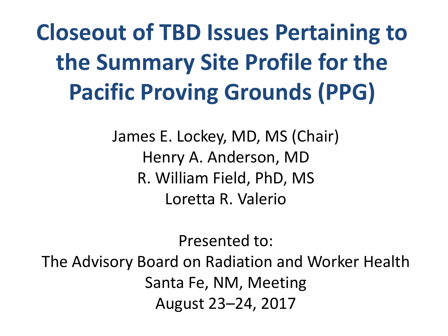**Closeout of TBD Issues Pertaining to the Summary Site Profile for the Pacific Proving Grounds (PPG)**

> James E. Lockey, MD, MS (Chair) Henry A. Anderson, MD R. William Field, PhD, MS Loretta R. Valerio

> > Presented to:

The Advisory Board on Radiation and Worker Health Santa Fe, NM, Meeting August 23–24, 2017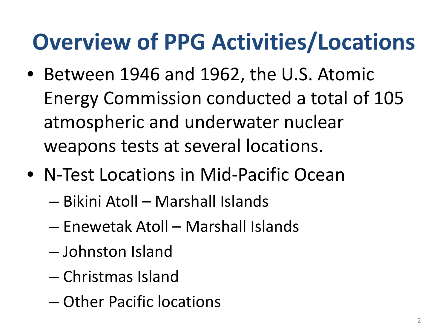#### **Overview of PPG Activities/Locations**

- Between 1946 and 1962, the U.S. Atomic Energy Commission conducted a total of 105 atmospheric and underwater nuclear weapons tests at several locations.
- N-Test Locations in Mid-Pacific Ocean
	- Bikini Atoll Marshall Islands
	- Enewetak Atoll Marshall Islands
	- Johnston Island
	- Christmas Island
	- Other Pacific locations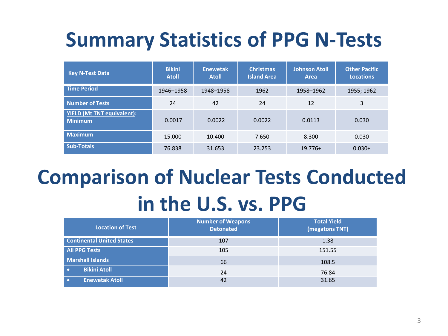#### **Summary Statistics of PPG N-Tests**

| <b>Key N-Test Data</b>                              | <b>Bikini</b><br><b>Atoll</b> | <b>Enewetak</b><br><b>Atoll</b> | <b>Christmas</b><br><b>Island Area</b> | <b>Johnson Atoll</b><br><b>Area</b> | <b>Other Pacific</b><br><b>Locations</b> |
|-----------------------------------------------------|-------------------------------|---------------------------------|----------------------------------------|-------------------------------------|------------------------------------------|
| <b>Time Period</b>                                  | 1946-1958                     | 1948-1958                       | 1962                                   | 1958-1962                           | 1955; 1962                               |
| <b>Number of Tests</b>                              | 24                            | 42                              | 24                                     | 12                                  | 3                                        |
| <b>YIELD (Mt TNT equivalent):</b><br><b>Minimum</b> | 0.0017                        | 0.0022                          | 0.0022                                 | 0.0113                              | 0.030                                    |
| <b>Maximum</b>                                      | 15.000                        | 10.400                          | 7.650                                  | 8.300                               | 0.030                                    |
| <b>Sub-Totals</b>                                   | 76.838                        | 31.653                          | 23.253                                 | $19.776+$                           | $0.030+$                                 |

#### **Comparison of Nuclear Tests Conducted in the U.S. vs. PPG**

| <b>Location of Test</b>            | <b>Number of Weapons</b><br><b>Detonated</b> | <b>Total Yield</b><br>(megatons TNT) |  |
|------------------------------------|----------------------------------------------|--------------------------------------|--|
| <b>Continental United States</b>   | 107                                          | 1.38                                 |  |
| <b>All PPG Tests</b>               | 105                                          | 151.55                               |  |
| <b>Marshall Islands</b>            | 66                                           | 108.5                                |  |
| <b>Bikini Atoll</b><br>$\bullet$   | 24                                           | 76.84                                |  |
| <b>Enewetak Atoll</b><br>$\bullet$ | 42                                           | 31.65                                |  |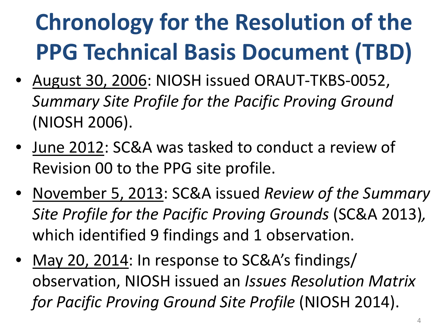## **Chronology for the Resolution of the PPG Technical Basis Document (TBD)**

- August 30, 2006: NIOSH issued ORAUT-TKBS-0052, *Summary Site Profile for the Pacific Proving Ground* (NIOSH 2006).
- June 2012: SC&A was tasked to conduct a review of Revision 00 to the PPG site profile.
- November 5, 2013: SC&A issued *Review of the Summary Site Profile for the Pacific Proving Grounds* (SC&A 2013)*,* which identified 9 findings and 1 observation.
- May 20, 2014: In response to SC&A's findings/ observation, NIOSH issued an *Issues Resolution Matrix for Pacific Proving Ground Site Profile* (NIOSH 2014).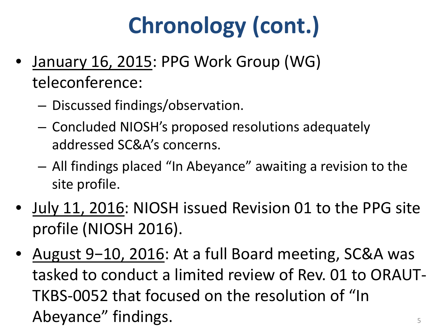## **Chronology (cont.)**

- January 16, 2015: PPG Work Group (WG) teleconference:
	- Discussed findings/observation.
	- Concluded NIOSH's proposed resolutions adequately addressed SC&A's concerns.
	- All findings placed "In Abeyance" awaiting a revision to the site profile.
- July 11, 2016: NIOSH issued Revision 01 to the PPG site profile (NIOSH 2016).
- August 9−10, 2016: At a full Board meeting, SC&A was tasked to conduct a limited review of Rev. 01 to ORAUT-TKBS-0052 that focused on the resolution of "In Abeyance" findings.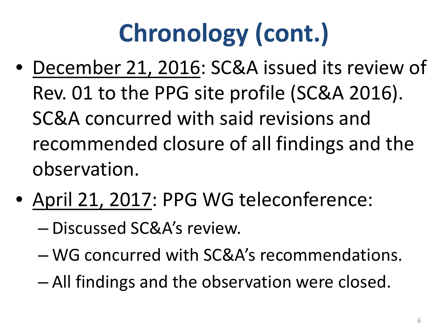# **Chronology (cont.)**

- December 21, 2016: SC&A issued its review of Rev. 01 to the PPG site profile (SC&A 2016). SC&A concurred with said revisions and recommended closure of all findings and the observation.
- April 21, 2017: PPG WG teleconference:
	- Discussed SC&A's review.
	- WG concurred with SC&A's recommendations.
	- All findings and the observation were closed.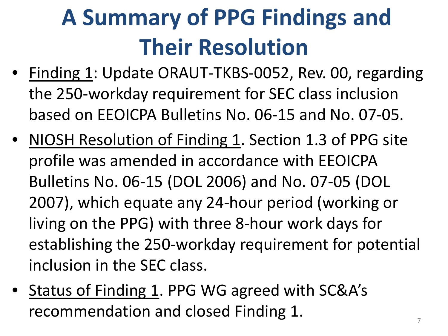## **A Summary of PPG Findings and Their Resolution**

- Finding 1: Update ORAUT-TKBS-0052, Rev. 00, regarding the 250-workday requirement for SEC class inclusion based on EEOICPA Bulletins No. 06-15 and No. 07-05.
- NIOSH Resolution of Finding 1. Section 1.3 of PPG site profile was amended in accordance with EEOICPA Bulletins No. 06-15 (DOL 2006) and No. 07-05 (DOL 2007), which equate any 24-hour period (working or living on the PPG) with three 8-hour work days for establishing the 250-workday requirement for potential inclusion in the SEC class.
- Status of Finding 1. PPG WG agreed with SC&A's recommendation and closed Finding 1.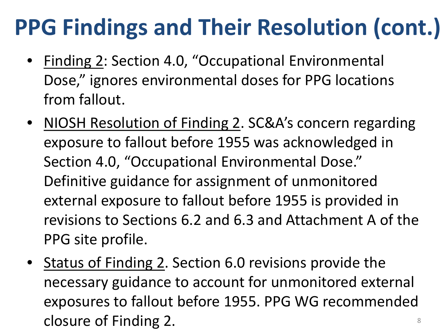- Finding 2: Section 4.0, "Occupational Environmental Dose," ignores environmental doses for PPG locations from fallout.
- NIOSH Resolution of Finding 2. SC&A's concern regarding exposure to fallout before 1955 was acknowledged in Section 4.0, "Occupational Environmental Dose." Definitive guidance for assignment of unmonitored external exposure to fallout before 1955 is provided in revisions to Sections 6.2 and 6.3 and Attachment A of the PPG site profile.
- Status of Finding 2. Section 6.0 revisions provide the necessary guidance to account for unmonitored external exposures to fallout before 1955. PPG WG recommended closure of Finding 2. All and the state of  $\frac{8}{3}$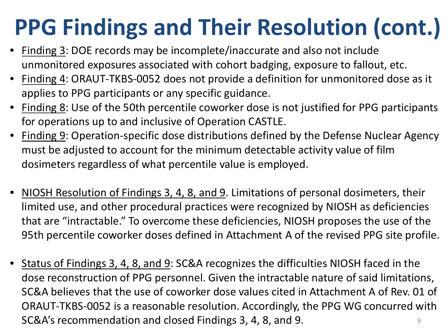- Finding 3: DOE records may be incomplete/inaccurate and also not include unmonitored exposures associated with cohort badging, exposure to fallout, etc.
- Finding 4: ORAUT-TKBS-0052 does not provide a definition for unmonitored dose as it applies to PPG participants or any specific guidance.
- Finding 8: Use of the 50th percentile coworker dose is not justified for PPG participants for operations up to and inclusive of Operation CASTLE.
- Finding 9: Operation-specific dose distributions defined by the Defense Nuclear Agency must be adjusted to account for the minimum detectable activity value of film dosimeters regardless of what percentile value is employed.
- NIOSH Resolution of Findings 3, 4, 8, and 9. Limitations of personal dosimeters, their limited use, and other procedural practices were recognized by NIOSH as deficiencies that are "intractable." To overcome these deficiencies, NIOSH proposes the use of the 95th percentile coworker doses defined in Attachment A of the revised PPG site profile.
- Status of Findings 3, 4, 8, and 9: SC&A recognizes the difficulties NIOSH faced in the dose reconstruction of PPG personnel. Given the intractable nature of said limitations, SC&A believes that the use of coworker dose values cited in Attachment A of Rev. 01 of ORAUT-TKBS-0052 is a reasonable resolution. Accordingly, the PPG WG concurred with SC&A's recommendation and closed Findings 3, 4, 8, and 9. 9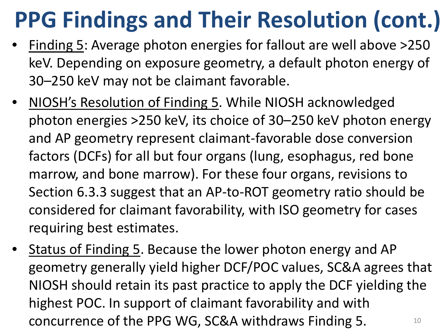- Finding 5: Average photon energies for fallout are well above >250 keV. Depending on exposure geometry, a default photon energy of 30–250 keV may not be claimant favorable.
- NIOSH's Resolution of Finding 5. While NIOSH acknowledged photon energies >250 keV, its choice of 30–250 keV photon energy and AP geometry represent claimant-favorable dose conversion factors (DCFs) for all but four organs (lung, esophagus, red bone marrow, and bone marrow). For these four organs, revisions to Section 6.3.3 suggest that an AP-to-ROT geometry ratio should be considered for claimant favorability, with ISO geometry for cases requiring best estimates.
- Status of Finding 5. Because the lower photon energy and AP geometry generally yield higher DCF/POC values, SC&A agrees that NIOSH should retain its past practice to apply the DCF yielding the highest POC. In support of claimant favorability and with concurrence of the PPG WG, SC&A withdraws Finding 5.  $10^{10}$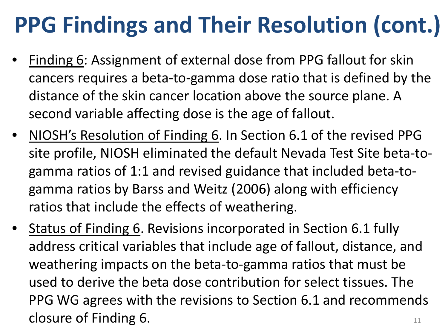- Finding 6: Assignment of external dose from PPG fallout for skin cancers requires a beta-to-gamma dose ratio that is defined by the distance of the skin cancer location above the source plane. A second variable affecting dose is the age of fallout.
- NIOSH's Resolution of Finding 6. In Section 6.1 of the revised PPG site profile, NIOSH eliminated the default Nevada Test Site beta-togamma ratios of 1:1 and revised guidance that included beta-togamma ratios by Barss and Weitz (2006) along with efficiency ratios that include the effects of weathering.
- Status of Finding 6. Revisions incorporated in Section 6.1 fully address critical variables that include age of fallout, distance, and weathering impacts on the beta-to-gamma ratios that must be used to derive the beta dose contribution for select tissues. The PPG WG agrees with the revisions to Section 6.1 and recommends closure of Finding 6.  $\frac{1}{11}$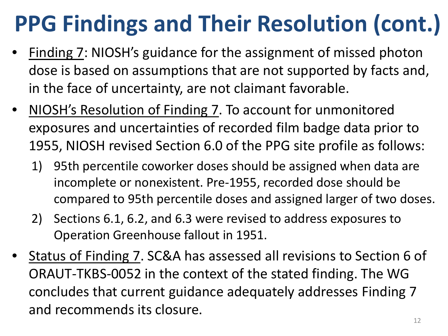- Finding 7: NIOSH's guidance for the assignment of missed photon dose is based on assumptions that are not supported by facts and, in the face of uncertainty, are not claimant favorable.
- NIOSH's Resolution of Finding 7. To account for unmonitored exposures and uncertainties of recorded film badge data prior to 1955, NIOSH revised Section 6.0 of the PPG site profile as follows:
	- 1) 95th percentile coworker doses should be assigned when data are incomplete or nonexistent. Pre-1955, recorded dose should be compared to 95th percentile doses and assigned larger of two doses.
	- 2) Sections 6.1, 6.2, and 6.3 were revised to address exposures to Operation Greenhouse fallout in 1951.
- Status of Finding 7. SC&A has assessed all revisions to Section 6 of ORAUT-TKBS-0052 in the context of the stated finding. The WG concludes that current guidance adequately addresses Finding 7 and recommends its closure.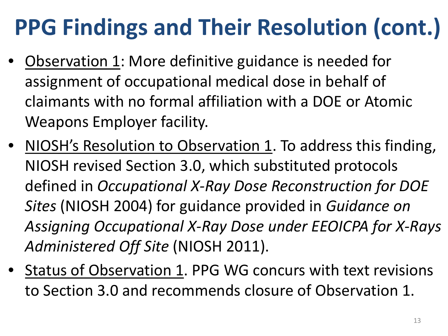- Observation 1: More definitive guidance is needed for assignment of occupational medical dose in behalf of claimants with no formal affiliation with a DOE or Atomic Weapons Employer facility.
- NIOSH's Resolution to Observation 1. To address this finding, NIOSH revised Section 3.0, which substituted protocols defined in *Occupational X-Ray Dose Reconstruction for DOE Sites* (NIOSH 2004) for guidance provided in *Guidance on Assigning Occupational X-Ray Dose under EEOICPA for X-Rays Administered Off Site* (NIOSH 2011).
- Status of Observation 1. PPG WG concurs with text revisions to Section 3.0 and recommends closure of Observation 1.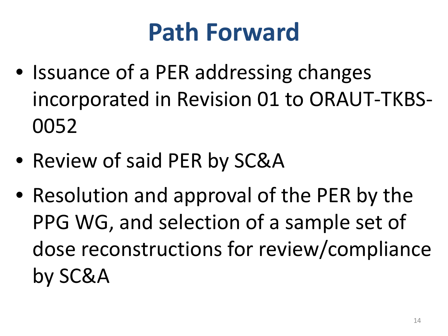### **Path Forward**

- Issuance of a PER addressing changes incorporated in Revision 01 to ORAUT-TKBS-0052
- Review of said PER by SC&A
- Resolution and approval of the PER by the PPG WG, and selection of a sample set of dose reconstructions for review/compliance by SC&A